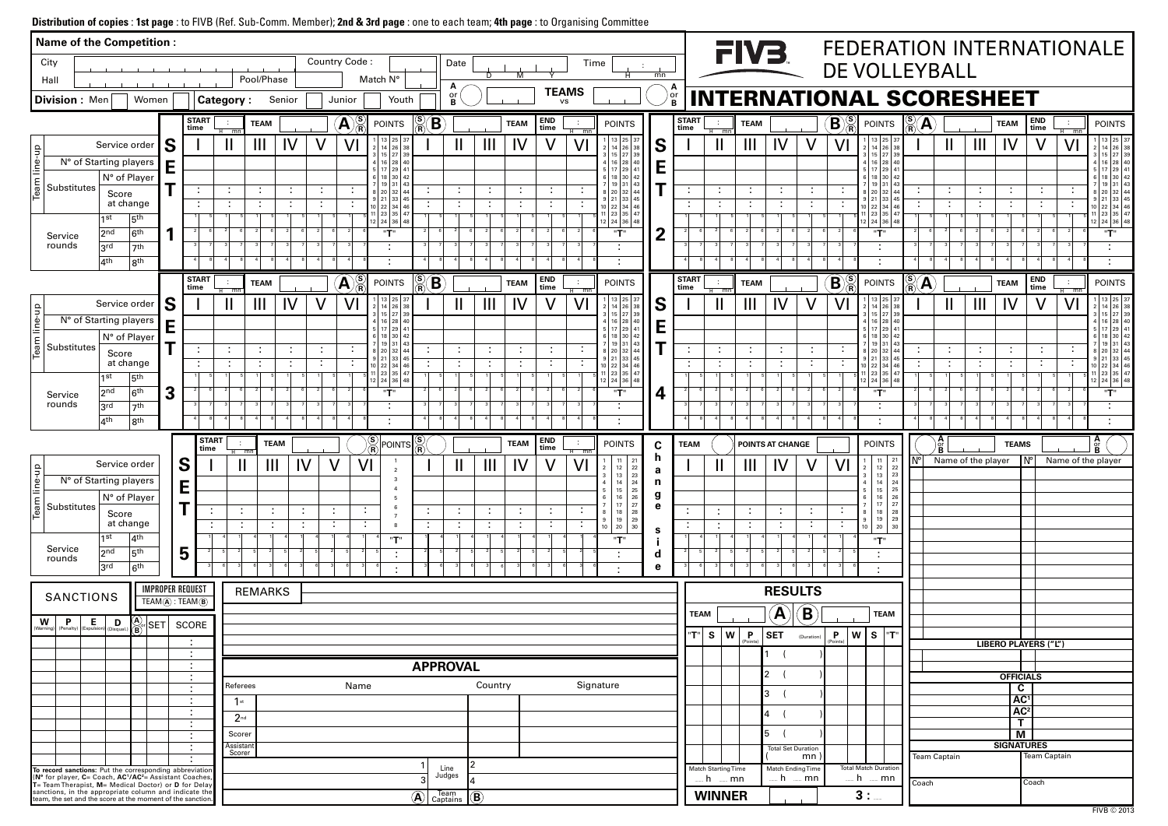# **Distribution of copies** : **1st page** : to FIVB (Ref. Sub-Comm. Member); **2nd & 3rd page** : one to each team; **4th page** : to Organising Committee

|                                                                                                                                                                                                                                                                                                                  | <b>Name of the Competition:</b>                                                           |                                         |    |                                           |                             |                |             |                           |                                           |                                             |                                             |                     |                                  |                             |                                              |                                                                                                      |                  |                      |                          | FIV <sub>3</sub> |                           |                            |                                                         |                                                                                                                    |                                                 |                                                            |                     |                                |                       | FEDERATION INTERNATIONALE                                                         |
|------------------------------------------------------------------------------------------------------------------------------------------------------------------------------------------------------------------------------------------------------------------------------------------------------------------|-------------------------------------------------------------------------------------------|-----------------------------------------|----|-------------------------------------------|-----------------------------|----------------|-------------|---------------------------|-------------------------------------------|---------------------------------------------|---------------------------------------------|---------------------|----------------------------------|-----------------------------|----------------------------------------------|------------------------------------------------------------------------------------------------------|------------------|----------------------|--------------------------|------------------|---------------------------|----------------------------|---------------------------------------------------------|--------------------------------------------------------------------------------------------------------------------|-------------------------------------------------|------------------------------------------------------------|---------------------|--------------------------------|-----------------------|-----------------------------------------------------------------------------------|
| City                                                                                                                                                                                                                                                                                                             |                                                                                           |                                         |    |                                           |                             |                |             | Country Code:             |                                           |                                             | Date                                        |                     |                                  |                             | Time                                         |                                                                                                      |                  |                      |                          |                  |                           |                            |                                                         | DE VOLLEYBALL                                                                                                      |                                                 |                                                            |                     |                                |                       |                                                                                   |
| Hall                                                                                                                                                                                                                                                                                                             |                                                                                           |                                         |    |                                           |                             | Pool/Phase     |             |                           | Match N°                                  |                                             | А                                           | D                   | M                                | <b>TEAMS</b>                |                                              |                                                                                                      | mn               |                      |                          |                  |                           |                            |                                                         |                                                                                                                    |                                                 |                                                            |                     |                                |                       |                                                                                   |
| Division: Men                                                                                                                                                                                                                                                                                                    |                                                                                           | Women                                   |    |                                           | <b>Category:</b>            |                | Senior      | Junior                    | Youth                                     |                                             | or<br><b>R</b>                              |                     |                                  | <b>VS</b>                   |                                              |                                                                                                      |                  | or<br>B              |                          |                  |                           |                            |                                                         | <b>INTERNATIONAL SCORESHEET</b>                                                                                    |                                                 |                                                            |                     |                                |                       |                                                                                   |
|                                                                                                                                                                                                                                                                                                                  |                                                                                           |                                         |    | <b>START</b><br>time                      | $\overline{\text{mn}}$      | <b>TEAM</b>    |             | $\left( {\bf{A}} \right)$ | <b>POINTS</b>                             | $\sum_{\mathbf{R}}$<br>$\mathbf B$          |                                             |                     | <b>TEAM</b>                      | <b>END</b><br>time          | $\sim$<br>$-mn$                              | <b>POINTS</b>                                                                                        |                  | <b>START</b><br>time |                          | <b>TEAM</b>      |                           |                            | $\frac{\mathbf{\langle S}}{\mathbf{R}}$<br>$\mathbf{B}$ | <b>POINTS</b>                                                                                                      | $\frac{\mathbf{S}}{\mathbf{R}}$<br>$\mathbf{A}$ |                                                            |                     | <b>TEAM</b>                    | END<br>time           | <b>POINTS</b><br>$H$ mm                                                           |
|                                                                                                                                                                                                                                                                                                                  |                                                                                           | Service order                           | S  |                                           |                             | $\mathbf{III}$ | IV          |                           | 13   25   37<br>$14$ 26                   |                                             | н.                                          | $\mathbf{III}$      | IV                               |                             | V <sub>l</sub>                               | 13 25 <br>26                                                                                         | S                |                      |                          | Ш                | IV                        |                            |                                                         | $13$   25   37<br>$26$ 38<br>14                                                                                    |                                                 | $\mathbf{\mathsf{I}}$                                      | $\mathbf{III}$      | IV                             |                       | 1   13   25   3<br>VI<br>$14 \mid 26 \mid 3$                                      |
| eam line-up                                                                                                                                                                                                                                                                                                      | N° of Starting players                                                                    |                                         | E  |                                           |                             |                |             |                           | $15$   27   39<br>16 28 40<br>5 17 29 41  |                                             |                                             |                     |                                  |                             |                                              | 29                                                                                                   | E                |                      |                          |                  |                           |                            |                                                         | 3   15   27   39<br>4 16 28 40<br>5 17 29 4                                                                        |                                                 |                                                            |                     |                                |                       | 3   15   27   39<br>4 16 28 40<br>5 17 29 4                                       |
| Substitutes                                                                                                                                                                                                                                                                                                      |                                                                                           | N° of Player                            | т  |                                           |                             |                |             |                           | 6   18   30   42<br>$19$ 31 43            |                                             |                                             |                     |                                  |                             |                                              | 6 18<br>  30                                                                                         |                  |                      | $\blacksquare$           |                  |                           |                            |                                                         | 6 18 30 42<br>$19 \mid 31 \mid 4$                                                                                  |                                                 |                                                            |                     |                                |                       | 6 18 30<br>19 31                                                                  |
|                                                                                                                                                                                                                                                                                                                  | Score                                                                                     | at change                               |    |                                           |                             |                | ÷<br>÷      |                           | 8 20 32 44<br>$9$ 21 33<br>10 22 34 46    |                                             | $\mathcal{L}_{\mathcal{C}}$<br>$\mathbf{r}$ | ÷<br>$\sim$         | $\mathcal{L}_{\mathcal{A}}$<br>÷ | $\sim$<br>$\sim$            | $\sim$                                       | 8 20<br>9 21<br>33<br>10 22 34                                                                       |                  |                      | $\sim$                   | $\sim$           | . .                       |                            |                                                         | 8 20 32 44<br>$9$ 21 33 45<br>10 22 34 46                                                                          | $\blacksquare$<br>$\blacksquare$                | $\mathcal{L}_{\mathcal{C}}$<br>$\mathcal{L}_{\mathcal{A}}$ | $\cdot$ :<br>$\sim$ | ÷<br>$\mathbf{r}$              | - 1<br>$\sim$         | 8   20   32  <br>9   21   33   49<br>10   22   34   46                            |
|                                                                                                                                                                                                                                                                                                                  | 1 st                                                                                      | 5 <sup>th</sup>                         |    |                                           |                             |                |             |                           | 1 23 35 47<br>$2 \mid 24 \mid 36 \mid 48$ |                                             |                                             |                     |                                  |                             |                                              | 11 23 35<br>12 24 36 48                                                                              |                  |                      |                          |                  |                           |                            |                                                         | 1 23 35 47<br>12 24 36 48                                                                                          |                                                 |                                                            |                     |                                |                       | $11 \mid 23 \mid 35 \mid 47$<br>$12 \mid 24 \mid 36 \mid 48$                      |
| Service                                                                                                                                                                                                                                                                                                          | 2 <sub>nd</sub>                                                                           | 6 <sup>th</sup>                         | и  |                                           |                             |                |             |                           | "T"                                       |                                             |                                             |                     |                                  |                             |                                              | "T"                                                                                                  | 2                |                      |                          |                  |                           |                            |                                                         | "T"                                                                                                                |                                                 |                                                            |                     |                                |                       | "T"                                                                               |
| rounds                                                                                                                                                                                                                                                                                                           | 3rd<br>$ 4^{th}$                                                                          | 7th<br>8 <sup>th</sup>                  |    | 4                                         |                             |                |             |                           | ٠<br>٠                                    |                                             | 4                                           |                     |                                  |                             |                                              | $\blacksquare$                                                                                       |                  |                      |                          |                  |                           |                            |                                                         |                                                                                                                    |                                                 |                                                            |                     |                                |                       |                                                                                   |
|                                                                                                                                                                                                                                                                                                                  |                                                                                           |                                         |    | <b>START</b>                              |                             | <b>TEAM</b>    |             | A                         | <b>POINTS</b>                             | $\frac{\mathbf{S}}{\mathbf{R}}$<br><b>B</b> |                                             |                     | <b>TEAM</b>                      | <b>END</b>                  | $\sim$                                       | <b>POINTS</b>                                                                                        |                  | <b>START</b>         |                          | <b>TEAM</b>      |                           |                            | $\left( \mathbf{B}\right)$                              | <b>POINTS</b>                                                                                                      | $\frac{\text{(S)}}{\text{(R)}}$<br>$\mathbf A$  |                                                            |                     | <b>TEAM</b>                    | <b>END</b><br>$\sim$  | <b>POINTS</b>                                                                     |
|                                                                                                                                                                                                                                                                                                                  |                                                                                           | Service order                           | .S | time                                      | $\overline{m}$ r            | $\mathbf{III}$ | IV          | Vl                        | $13 \mid 25 \mid 37$<br>$14 \ 26$         |                                             | $\mathbf{H}$                                | $\mathbf{III}$      | IV                               | time<br>V                   | $-$ mn<br>V <sub>l</sub>                     | 13 25 <br>  26                                                                                       | S                | time                 |                          | Ш                | IV                        |                            | $\mathsf{V}$ l                                          | $13$   25   37<br>$26$ 38<br>$2$   14                                                                              |                                                 | Ш                                                          | $\mathbf{III}$      | IV                             | time                  | $H$ mp<br>1   13   25   3<br>VI<br>$14 \mid 26 \mid 38$                           |
| line-up                                                                                                                                                                                                                                                                                                          | N° of Starting players                                                                    |                                         | E  |                                           |                             |                |             |                           | $15$ 27 39<br>16 28 40                    |                                             |                                             |                     |                                  |                             |                                              | 4 16 28                                                                                              | E                |                      |                          |                  |                           |                            |                                                         | 3   15   27   39<br>4   16   28   40                                                                               |                                                 |                                                            |                     |                                |                       | 3   15   27   39<br>4 16 28 40                                                    |
| eam                                                                                                                                                                                                                                                                                                              |                                                                                           | N° of Player                            | т  |                                           |                             |                |             |                           | 17 29 41<br>6   18   30   42<br>19 31 43  |                                             |                                             |                     |                                  |                             |                                              | 29<br>6   18   30                                                                                    |                  |                      |                          |                  |                           |                            |                                                         | 5 17 29 4<br>6 18 30 42<br>19 31 43                                                                                |                                                 |                                                            |                     |                                |                       | 5 17 29 <br>6 18 30 <br>7   19   31                                               |
| Substitutes                                                                                                                                                                                                                                                                                                      | Score                                                                                     | at change                               |    |                                           |                             |                | ÷<br>÷      |                           | 8 20 32 44<br>$9$ 21 33 45                |                                             | $\mathcal{L}_{\mathcal{C}}$                 | ÷<br>$\blacksquare$ | ÷<br>÷                           | $\sim$<br>$\sim$            | $\mathbf{r}$                                 | 8 20 32<br>9 21<br>  33                                                                              |                  |                      | ÷                        |                  | $\sim$                    |                            |                                                         | 8 20 32 44<br>$9$ 21 33 45                                                                                         | ÷                                               | $\mathcal{L}_{\mathcal{A}}$<br>÷                           | ÷                   | ÷                              | - 1<br>$\blacksquare$ | 8   20   32  <br>9   21   33   45                                                 |
|                                                                                                                                                                                                                                                                                                                  | 1st                                                                                       | 5 <sup>th</sup>                         |    |                                           |                             |                |             |                           | 10 22 34 46<br>$23$ 35 47<br>12 24 36 48  |                                             |                                             |                     |                                  | $\sim$                      | $\blacksquare$                               | 10 22 34<br>11 23 35<br>12   24   36                                                                 |                  |                      |                          |                  |                           |                            |                                                         | 10 22 34 46<br>11   23   35   47<br>12 24 36 48                                                                    |                                                 |                                                            |                     |                                |                       | 10   22   34   46<br>$11 \mid 23 \mid 35 \mid 47$<br>$12 \mid 24 \mid 36 \mid 48$ |
| Service                                                                                                                                                                                                                                                                                                          | 2 <sub>nd</sub>                                                                           | 6 <sup>th</sup>                         | 3  |                                           |                             |                |             |                           | "T"                                       |                                             |                                             |                     |                                  |                             |                                              | "T"                                                                                                  |                  |                      |                          |                  |                           |                            |                                                         | "T"                                                                                                                |                                                 |                                                            |                     |                                |                       | "T"                                                                               |
| rounds                                                                                                                                                                                                                                                                                                           | 3rd<br>$ 4^{th}$                                                                          | 7 <sup>th</sup><br>8 <sup>th</sup>      |    | 4                                         |                             |                |             |                           | ÷                                         |                                             |                                             |                     |                                  |                             |                                              |                                                                                                      |                  |                      |                          |                  |                           |                            |                                                         |                                                                                                                    |                                                 |                                                            |                     |                                |                       |                                                                                   |
|                                                                                                                                                                                                                                                                                                                  |                                                                                           |                                         |    | <b>START</b>                              |                             |                |             |                           |                                           |                                             |                                             |                     |                                  | <b>END</b>                  |                                              |                                                                                                      |                  |                      |                          |                  |                           |                            |                                                         |                                                                                                                    |                                                 | $\frac{A}{\alpha}$                                         |                     |                                |                       |                                                                                   |
|                                                                                                                                                                                                                                                                                                                  |                                                                                           |                                         |    | time                                      |                             |                | <b>TEAM</b> |                           | <sup>)⁄ି§ POINTS `</sup>                  | $\frac{\textbf{(S)}}{\textbf{(R)}}$         |                                             |                     | <b>TEAM</b>                      | time                        | $\overline{\phantom{m}}$ mn                  | <b>POINTS</b><br>21<br>11                                                                            | $\mathbf C$<br>n | <b>TEAM</b>          |                          |                  | <b>POINTS AT CHANGE</b>   |                            |                                                         | <b>POINTS</b><br>11<br>21                                                                                          |                                                 |                                                            | Name of the player  | <b>TEAMS</b>                   | $N^{\circ}$           | $\frac{\mathsf{A}}{\mathsf{or}}$<br>Name of the player                            |
| $\frac{Q}{T}$                                                                                                                                                                                                                                                                                                    | Service order                                                                             |                                         |    | S                                         |                             | н              | Ш           |                           |                                           |                                             |                                             | $\mathbf{III}$      | IV                               |                             | VI                                           | 22<br>12<br>  13                                                                                     | a                |                      |                          | Ш                |                           |                            |                                                         | 12<br>22                                                                                                           |                                                 |                                                            |                     |                                |                       |                                                                                   |
|                                                                                                                                                                                                                                                                                                                  |                                                                                           |                                         |    |                                           |                             |                |             |                           |                                           |                                             |                                             |                     |                                  |                             |                                              |                                                                                                      |                  |                      |                          |                  |                           |                            |                                                         |                                                                                                                    |                                                 |                                                            |                     |                                |                       |                                                                                   |
|                                                                                                                                                                                                                                                                                                                  | N° of Starting players                                                                    | N° of Player                            |    | E                                         |                             |                |             |                           |                                           |                                             |                                             |                     |                                  |                             |                                              | $\begin{array}{ c} 23 \\ 24 \\ 25 \\ 26 \end{array}$<br>$\frac{14}{15}$<br>$\overline{4}$<br>16<br>6 | n<br>g           |                      |                          |                  |                           |                            |                                                         | $\begin{array}{c cc}\n 13 & 23 \\ 14 & 24 \\ 15 & 25 \\ 16 & 26\n\end{array}$<br>$\vert$ 4<br>5<br>$6\overline{6}$ |                                                 |                                                            |                     |                                |                       |                                                                                   |
| Team line-<br>Substitutes                                                                                                                                                                                                                                                                                        | Score                                                                                     |                                         |    | $\mathbf T$<br>÷                          | $\cdot$                     |                |             | $\sim$                    |                                           | ÷                                           | ÷                                           | ÷                   | $\mathcal{I}_\mathrm{c}$         | ÷                           | $\blacksquare$<br>$\mathcal{L}_{\mathbf{r}}$ | 27<br>17<br>$\overline{7}$<br>28<br>18<br>8 <sup>1</sup>                                             | e                |                      | ÷                        |                  | ÷.                        | ÷                          |                                                         | $17 \mid 27$<br>$\overline{7}$<br>$18 \mid 28$<br>8                                                                |                                                 |                                                            |                     |                                |                       |                                                                                   |
|                                                                                                                                                                                                                                                                                                                  |                                                                                           | at change                               |    |                                           | ÷                           |                |             | ÷                         |                                           |                                             | ÷                                           | ÷                   | $\mathcal{L}_{\mathcal{A}}$      | $\mathcal{L}_{\mathcal{C}}$ | $\mathcal{L}$                                | 19<br>$\frac{29}{2}$<br>9 <sup>1</sup><br>$10 \mid 20$<br>30                                         | S                |                      |                          |                  | ÷                         | $\mathbb{Z}^+$             | $\sim$                                                  | $\begin{array}{ c c c c c } \hline 9 & 19 & 29 \\ 10 & 20 & 30 \end{array}$                                        |                                                 |                                                            |                     |                                |                       |                                                                                   |
| Service                                                                                                                                                                                                                                                                                                          | $\vert$ 1st<br>2nd                                                                        | 4 <sup>th</sup><br>5 <sup>th</sup>      |    |                                           |                             |                |             |                           | "T"                                       |                                             |                                             |                     |                                  |                             |                                              | "T"<br>$\blacksquare$                                                                                | d                |                      |                          |                  |                           |                            |                                                         | "T"                                                                                                                |                                                 |                                                            |                     |                                |                       |                                                                                   |
| rounds                                                                                                                                                                                                                                                                                                           | 3 <sup>rd</sup>                                                                           | 6 <sup>th</sup>                         |    | 5                                         |                             |                |             |                           |                                           |                                             |                                             |                     |                                  |                             |                                              |                                                                                                      | e                |                      |                          |                  |                           |                            |                                                         | $\blacksquare$                                                                                                     |                                                 |                                                            |                     |                                |                       |                                                                                   |
|                                                                                                                                                                                                                                                                                                                  |                                                                                           |                                         |    | <b>IMPROPER REQUEST</b>                   |                             | <b>REMARKS</b> |             |                           |                                           |                                             |                                             |                     |                                  |                             |                                              |                                                                                                      |                  |                      |                          |                  | <b>RESULTS</b>            |                            |                                                         |                                                                                                                    |                                                 |                                                            |                     |                                |                       |                                                                                   |
|                                                                                                                                                                                                                                                                                                                  | <b>SANCTIONS</b>                                                                          |                                         |    | $TEAM(\widehat{A})$ : $TEAM(\widehat{B})$ |                             |                |             |                           |                                           |                                             |                                             |                     |                                  |                             |                                              |                                                                                                      |                  | <b>TEAM</b>          |                          |                  | $\left(\mathbf{A}\right)$ | $\left( \mathbf{B}\right)$ |                                                         | <b>TEAM</b>                                                                                                        |                                                 |                                                            |                     |                                |                       |                                                                                   |
| W                                                                                                                                                                                                                                                                                                                | $\left  \begin{array}{c} \mathbf{P} \\ \hline \end{array} \right $ (Expulsion) (Disqual.) | $\frac{(\mathbf{A})}{(\mathbf{B})}$ SET |    | SCORE                                     |                             |                |             |                           |                                           |                                             |                                             |                     |                                  |                             |                                              |                                                                                                      |                  | "T"                  | S   W                    | P.<br>(Points)   | <b>SET</b>                | (Duration)                 | $\mathsf{P}$<br>(Points)                                | W S <br>"T"                                                                                                        |                                                 |                                                            |                     |                                |                       |                                                                                   |
|                                                                                                                                                                                                                                                                                                                  |                                                                                           |                                         |    | ÷<br>÷<br>$\sim$                          |                             |                |             |                           |                                           |                                             |                                             |                     |                                  |                             |                                              |                                                                                                      |                  |                      |                          |                  |                           |                            |                                                         |                                                                                                                    |                                                 |                                                            |                     |                                | LIBERO PLAYERS ("L")  |                                                                                   |
|                                                                                                                                                                                                                                                                                                                  |                                                                                           |                                         |    | . .<br>÷                                  |                             |                |             |                           |                                           |                                             | <b>APPROVAL</b>                             |                     |                                  |                             |                                              |                                                                                                      |                  |                      |                          |                  | $\overline{2}$            |                            |                                                         |                                                                                                                    |                                                 |                                                            |                     | <b>OFFICIALS</b>               |                       |                                                                                   |
|                                                                                                                                                                                                                                                                                                                  |                                                                                           |                                         |    | $\mathcal{L}_{\mathcal{A}}$<br>÷          | Referees                    |                |             | Name                      |                                           |                                             |                                             | Country             |                                  |                             |                                              | Signature                                                                                            |                  |                      |                          |                  | $\mathbf{3}$              |                            |                                                         |                                                                                                                    |                                                 |                                                            |                     | $\mathbf c$<br>AC <sup>1</sup> |                       |                                                                                   |
|                                                                                                                                                                                                                                                                                                                  |                                                                                           |                                         |    | $\sim$<br>. .                             | $\mathbf{1}$ st<br>$2^{nd}$ |                |             |                           |                                           |                                             |                                             |                     |                                  |                             |                                              |                                                                                                      |                  |                      |                          |                  | $\overline{4}$            |                            |                                                         |                                                                                                                    |                                                 |                                                            |                     | AC <sup>2</sup>                |                       |                                                                                   |
|                                                                                                                                                                                                                                                                                                                  |                                                                                           |                                         |    | $\sim$<br>÷                               | Scorer                      |                |             |                           |                                           |                                             |                                             |                     |                                  |                             |                                              |                                                                                                      |                  |                      |                          |                  | 5                         |                            |                                                         |                                                                                                                    |                                                 |                                                            |                     | $\mathbf T$<br>$\overline{M}$  |                       |                                                                                   |
|                                                                                                                                                                                                                                                                                                                  |                                                                                           |                                         |    | ÷                                         | Assistant<br>Scorer         |                |             |                           |                                           |                                             |                                             |                     |                                  |                             |                                              |                                                                                                      |                  |                      |                          |                  | <b>Total Set Duration</b> | mn)                        |                                                         |                                                                                                                    |                                                 | <b>Team Captain</b>                                        |                     | <b>SIGNATURES</b>              | <b>Team Captain</b>   |                                                                                   |
|                                                                                                                                                                                                                                                                                                                  |                                                                                           |                                         |    | $\mathcal{L}_{\mathcal{A}}$               |                             |                |             |                           |                                           |                                             | Line                                        |                     |                                  |                             |                                              |                                                                                                      |                  |                      | Match Starting Time      |                  | Match Ending Time         |                            |                                                         | <b>Total Match Duration</b>                                                                                        |                                                 |                                                            |                     |                                |                       |                                                                                   |
| To record sanctions: Put the corresponding abbreviation ( $N^{\circ}$ for player, C= Coach, AC'/AC <sup>2</sup> = Assistant Coaches, T= Team Therapist, M= Medical Doctor) or D for Delay<br>sanctions, in the appropriate column and indicate the<br>team, the set and the score at the moment of the sanction. |                                                                                           |                                         |    |                                           |                             |                |             |                           |                                           | $\left( \widehat{\mathbf{A}}\right)$        | Judges<br>Team<br>Captains                  | $\overline{B}$      |                                  |                             |                                              |                                                                                                      |                  |                      | h    mn<br><b>WINNER</b> |                  | h                         | $$ mn                      | <u></u> h                                               | $\equiv$ mn<br>3:                                                                                                  | Coach                                           |                                                            |                     |                                | Coach                 |                                                                                   |